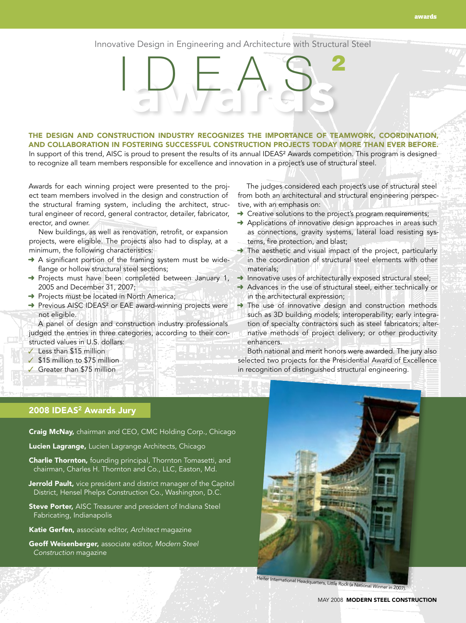## Innovative Design in Engineering and Architecture with Structural Steel

awards IDEAS <sup>2</sup>

## The design and construction industry recognizes the importance of teamwork, coordination, and collaboration in fostering successful construction projects today more than ever before. In support of this trend, AISC is proud to present the results of its annual IDEAS<sup>2</sup> Awards competition. This program is designed

to recognize all team members responsible for excellence and innovation in a project's use of structural steel.

Awards for each winning project were presented to the project team members involved in the design and construction of the structural framing system, including the architect, structural engineer of record, general contractor, detailer, fabricator, erector, and owner.

New buildings, as well as renovation, retrofit, or expansion projects, were eligible. The projects also had to display, at a minimum, the following characteristics:

- → A significant portion of the framing system must be wideflange or hollow structural steel sections;
- ➜ Projects must have been completed between January 1, 2005 and December 31, 2007;
- → Projects must be located in North America;
- → Previous AISC IDEAS<sup>2</sup> or EAE award-winning projects were not eligible.

A panel of design and construction industry professionals judged the entries in three categories, according to their constructed values in U.S. dollars:

- ✓ Less than \$15 million
- ✓ \$15 million to \$75 million
- ✓ Greater than \$75 million

The judges considered each project's use of structural steel from both an architectural and structural engineering perspective, with an emphasis on:

- **→** Creative solutions to the project's program requirements;
- → Applications of innovative design approaches in areas such as connections, gravity systems, lateral load resisting systems, fire protection, and blast;
- → The aesthetic and visual impact of the project, particularly in the coordination of structural steel elements with other materials;
- $\rightarrow$  Innovative uses of architecturally exposed structural steel;
- → Advances in the use of structural steel, either technically or in the architectural expression;
- → The use of innovative design and construction methods such as 3D building models; interoperability; early integration of specialty contractors such as steel fabricators; alternative methods of project delivery; or other productivity enhancers.

Both national and merit honors were awarded. The jury also selected two projects for the Presidential Award of Excellence in recognition of distinguished structural engineering.

## 2008 IDEAS<sup>2</sup> Awards Jury

Craig McNay, chairman and CEO, CMC Holding Corp., Chicago

Lucien Lagrange, Lucien Lagrange Architects, Chicago

- **Charlie Thornton,** founding principal, Thornton Tomasetti, and chairman, Charles H. Thornton and Co., LLC, Easton, Md.
- Jerrold Pault, vice president and district manager of the Capitol District, Hensel Phelps Construction Co., Washington, D.C.
- Steve Porter, AISC Treasurer and president of Indiana Steel Fabricating, Indianapolis
- Katie Gerfen, associate editor, *Architect* magazine
- Geoff Weisenberger, associate editor, *Modern Steel Construction* magazine



Heifer International Headquarters, Little Rock (a National Winner in 2007).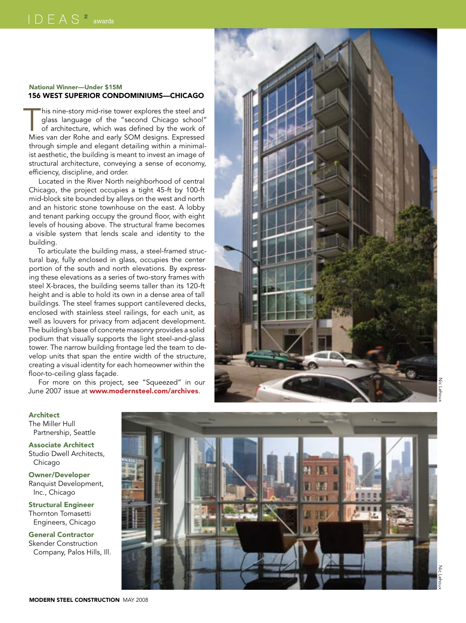## National Winner—Under \$15M 156 WEST SUPERIOR CONDOMINIUMS—CHICAGC

his nine-story mid-rise tower explores the steel and<br>glass language of the "second Chicago school"<br>of architecture, which was defined by the work of<br>Mies van der Robe and early SOM designs Expressed glass language of the "second Chicago school" of architecture, which was defined by the work of Mies van der Rohe and early SO M designs. Expressed through simple and elegant detailing within a minimal ist aesthetic, the building is meant to invest an image of structural architecture, conveying a sense of economy, efficiency, discipline, and order.

Located in the River North neighborhood of central Chicago, the project occupies a tight 45-ft by 100-ft mid-block site bounded by alleys on the west and north and an historic stone townhouse on the east. A lobby and tenant parking occupy the ground floor, with eight levels of housing above. The structural frame becomes a visible system that lends scale and identity to the building.

To articulate the building mass, a steel-framed struc tural bay, fully enclosed in glass, occupies the center portion of the south and north elevations. By express ing these elevations as a series of two-story frames with steel X-braces, the building seems taller than its 120-ft height and is able to hold its own in a dense area of tall buildings. The steel frames support cantilevered decks, enclosed with stainless steel railings, for each unit, as well as louvers for privacy from adjacent development. The building's base of concrete masonry provides a solid podium that visually supports the light steel-and-glass tower. The narrow building frontage led the team to de velop units that span the entire width of the structure, creating a visual identity for each homeowner within the floor-to-ceiling glass façade.

For more on this project, see "Squeezed" in our June 2007 issue at www.modernsteel.com/archives.



The Miller Hull Partnership, Seattle

Associate Architect Studio Dwell Architects, Chicago

Owner/Developer Ranquist Development, Inc., Chicago

Structural Engineer Thornton Tomasetti Engineers, Chicago

General Contractor Skender Construction Company, Palos Hills, Ill.

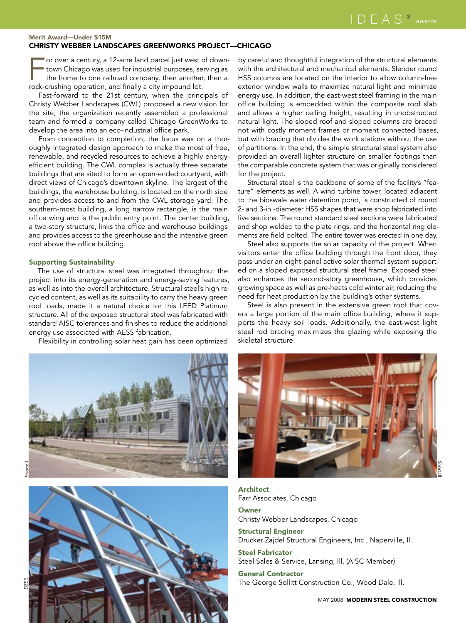### Merit Award—Under \$15M Christy Webber Landscapes Greenworks Project—Chicago

or over a century, a 12-acre land parcel just west of downtown Chicago was used for industrial purposes, serving as the home to one railroad company, then another, then a rock-crushing operation, and finally a city impound lot.

Fast-forward to the 21st century, when the principals of Christy Webber Landscapes (CWL) proposed a new vision for the site; the organization recently assembled a professional team and formed a company called Chicago GreenWorks to develop the area into an eco-industrial office park.

From conception to completion, the focus was on a thoroughly integrated design approach to make the most of free, renewable, and recycled resources to achieve a highly energyefficient building. The CWL complex is actually three separate buildings that are sited to form an open-ended courtyard, with direct views of Chicago's downtown skyline. The largest of the buildings, the warehouse building, is located on the north side and provides access to and from the CWL storage yard. The southern-most building, a long narrow rectangle, is the main office wing and is the public entry point. The center building, a two-story structure, links the office and warehouse buildings and provides access to the greenhouse and the intensive green roof above the office building.

## Supporting Sustainability

The use of structural steel was integrated throughout the project into its energy-generation and energy-saving features, as well as into the overall architecture. Structural steel's high recycled content, as well as its suitability to carry the heavy green roof loads, made it a natural choice for this LEED Platinum structure. All of the exposed structural steel was fabricated with standard AISC tolerances and finishes to reduce the additional energy use associated with AESS fabrication.

Flexibility in controlling solar heat gain has been optimized

by careful and thoughtful integration of the structural elements with the architectural and mechanical elements. Slender round HSS columns are located on the interior to allow column-free exterior window walls to maximize natural light and minimize energy use. In addition, the east-west steel framing in the main office building is embedded within the composite roof slab and allows a higher ceiling height, resulting in unobstructed natural light. The sloped roof and sloped columns are braced not with costly moment frames or moment connected bases, but with bracing that divides the work stations without the use of partitions. In the end, the simple structural steel system also provided an overall lighter structure on smaller footings than the comparable concrete system that was originally considered for the project.

Structural steel is the backbone of some of the facility's "feature" elements as well. A wind turbine tower, located adjacent to the bioswale water detention pond, is constructed of round 2- and 3-in.-diameter HSS shapes that were shop fabricated into five sections. The round standard steel sections were fabricated and shop welded to the plate rings, and the horizontal ring elements are field bolted. The entire tower was erected in one day.

Steel also supports the solar capacity of the project. When visitors enter the office building through the front door, they pass under an eight-panel active solar thermal system supported on a sloped exposed structural steel frame. Exposed steel also enhances the second-story greenhouse, which provides growing space as well as pre-heats cold winter air, reducing the need for heat production by the building's other systems.

Steel is also present in the extensive green roof that covers a large portion of the main office building, where it supports the heavy soil loads. Additionally, the east-west light steel rod bracing maximizes the glazing while exposing the skeletal structure.







Architect Farr Associates, Chicago

**Owner** Christy Webber Landscapes, Chicago

Structural Engineer Drucker Zajdel Structural Engineers, Inc., Naperville, Ill.

Steel Fabricator Steel Sales & Service, Lansing, Ill. (AISC Member)

General Contractor The George Sollitt Construction Co., Wood Dale, Ill.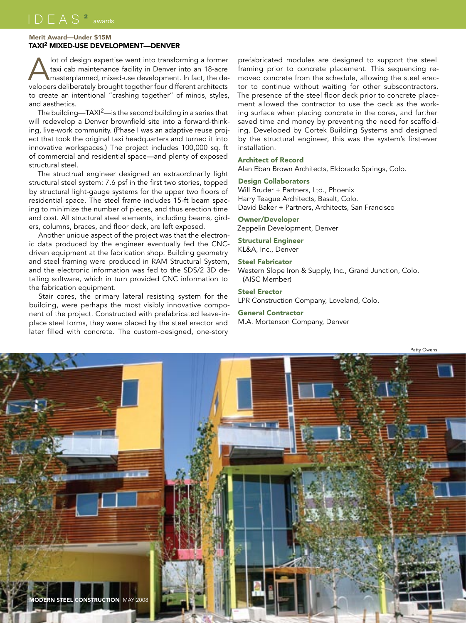## Merit Award—Under \$15M TAXI<sup>2</sup> MIXED-USE DEVELOPMENT—DENVE

Alot of design expertise went into transforming a former<br>
taxi cab maintenance facility in Denver into an 18-acre<br>
masterplanned, mixed-use development. In fact, the de-<br>
velopers deliberately brought together four differe taxi cab maintenance facility in Denver into an 18-acre velopers deliberately brought together four different architects to create an intentional "crashing together" of minds, styles, and aesthetics.

The building—TAXI<sup>2</sup>—is the second building in a series that will redevelop a Denver brownfield site into a forward-thinking, live-work community. (Phase I was an adaptive reuse project that took the original taxi headquarters and turned it into innovative workspaces.) The project includes 100,000 sq. ft of commercial and residential space—and plenty of exposed structural steel.

The structrual engineer designed an extraordinarily light structural steel system: 7.6 psf in the first two stories, topped by structural light-gauge systems for the upper two floors of residential space. The steel frame includes 15-ft beam spacing to minimize the number of pieces, and thus erection time and cost. All structural steel elements, including beams, girders, columns, braces, and floor deck, are left exposed.

Another unique aspect of the project was that the electronic data produced by the engineer eventually fed the CNCdriven equipment at the fabrication shop. Building geometry and steel framing were produced in RAM Structural System, and the electronic information was fed to the SDS/2 3D detailing software, which in turn provided CNC information to the fabrication equipment.

Stair cores, the primary lateral resisting system for the building, were perhaps the most visibly innovative component of the project. Constructed with prefabricated leave-inplace steel forms, they were placed by the steel erector and later filled with concrete. The custom-designed, one-story

prefabricated modules are designed to support the steel framing prior to concrete placement. This sequencing removed concrete from the schedule, allowing the steel erector to continue without waiting for other subscontractors. The presence of the steel floor deck prior to concrete placement allowed the contractor to use the deck as the working surface when placing concrete in the cores, and further saved time and money by preventing the need for scaffolding. Developed by Cortek Building Systems and designed by the structural engineer, this was the system's first-ever installation.

#### Architect of Record

Alan Eban Brown Architects, Eldorado Springs, Colo.

### Design Collaborators

Will Bruder + Partners, Ltd., Phoenix Harry Teague Architects, Basalt, Colo. David Baker + Partners, Architects, San Francisco

## Owner/Developer

Zeppelin Development, Denver

## Structural Engineer

KL&A, Inc., Denver

## Steel Fabricator

Western Slope Iron & Supply, Inc., Grand Junction, Colo. (AISC Member)

## Steel Erector

LPR Construction Company, Loveland, Colo.

#### General Contractor

M.A. Mortenson Company, Denver

Patty Owens

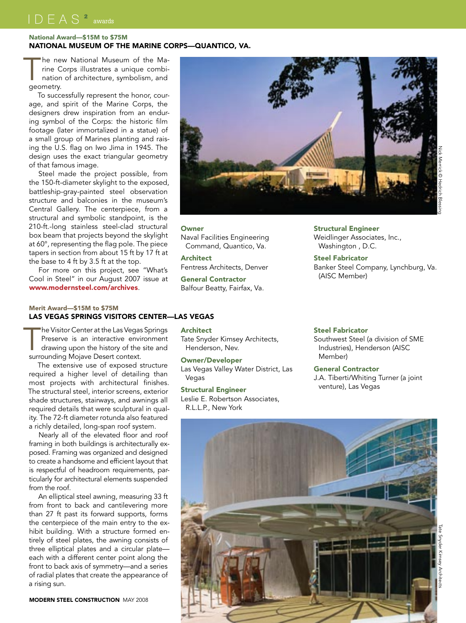## National Award—\$15M to \$75M National Museum of the Marine Corps—Quantico, Va.

he new National Museum of the Ma-<br>
ine Corps illustrates a unique combi-<br>
nation of architecture, symbolism, and<br>
ceometry rine Corps illustrates a unique combigeometry.

To successfully represent the honor, courage, and spirit of the Marine Corps, the designers drew inspiration from an enduring symbol of the Corps: the historic film footage (later immortalized in a statue) of a small group of Marines planting and raising the U.S. flag on Iwo Jima in 1945. The design uses the exact triangular geometry of that famous image.

Steel made the project possible, from the 150-ft-diameter skylight to the exposed, battleship-gray-painted steel observation structure and balconies in the museum's Central Gallery. The centerpiece, from a structural and symbolic standpoint, is the 210-ft.-long stainless steel-clad structural box beam that projects beyond the skylight at 60°, representing the flag pole. The piece tapers in section from about 15 ft by 17 ft at the base to 4 ft by 3.5 ft at the top.

For more on this project, see "What's Cool in Steel" in our August 2007 issue at www.modernsteel.com/archives.

## Merit Award—\$15M to \$75M Las Vegas Springs Visitors Center—Las Vegas

The Visitor Center at the Las Vegas Springs<br>
Preserve is an interactive environment<br>
drawing upon the history of the site and<br>
surrounding Moiave Desert context Preserve is an interactive environment surrounding Mojave Desert context.

The extensive use of exposed structure required a higher level of detailing than most projects with architectural finishes. The structural steel, interior screens, exterior shade structures, stairways, and awnings all required details that were sculptural in quality. The 72-ft diameter rotunda also featured a richly detailed, long-span roof system.

Nearly all of the elevated floor and roof framing in both buildings is architecturally exposed. Framing was organized and designed to create a handsome and efficient layout that is respectful of headroom requirements, particularly for architectural elements suspended from the roof.

An elliptical steel awning, measuring 33 ft from front to back and cantilevering more than 27 ft past its forward supports, forms the centerpiece of the main entry to the exhibit building. With a structure formed entirely of steel plates, the awning consists of three elliptical plates and a circular plate each with a different center point along the front to back axis of symmetry—and a series of radial plates that create the appearance of a rising sun.

**MODERN STEEL CONSTRUCTION MAY 2008** 



**Owner** 

Naval Facilities Engineering Command, Quantico, Va.

Architect Fentress Architects, Denver

General Contractor Balfour Beatty, Fairfax, Va. Structural Engineer Weidlinger Associates, Inc., Washington , D.C.

Steel Fabricator Banker Steel Company, Lynchburg, Va. (AISC Member)

## **Architect**

Tate Snyder Kimsey Architects, Henderson, Nev.

## Owner/Developer

Las Vegas Valley Water District, Las Vegas

#### Structural Engineer

Leslie E. Robertson Associates, R.L.L.P., New York

#### Steel Fabricator

Southwest Steel (a division of SME Industries), Henderson (AISC Member)

## General Contractor

J.A. Tiberti/Whiting Turner (a joint venture), Las Vegas

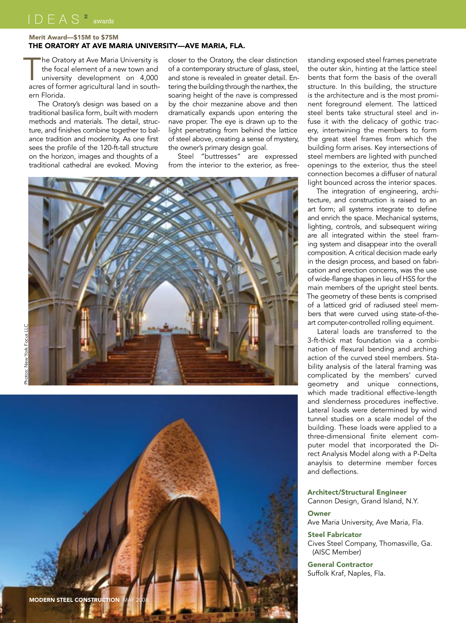Merit Award—\$15M to \$75M

## The Oratory at Ave Maria University—Ave Maria, FLA.

The Oratory at Ave Maria University is<br>
the focal element of a new town and<br>
university development on 4,000<br>
acres of former acricultural land in souththe focal element of a new town and acres of former agricultural land in southern Florida.

The Oratory's design was based on a traditional basilica form, built with modern methods and materials. The detail, structure, and finishes combine together to balance tradition and modernity. As one first sees the profile of the 120-ft-tall structure on the horizon, images and thoughts of a traditional cathedral are evoked. Moving

closer to the Oratory, the clear distinction of a contemporary structure of glass, steel, and stone is revealed in greater detail. Entering the building through the narthex, the soaring height of the nave is compressed by the choir mezzanine above and then dramatically expands upon entering the nave proper. The eye is drawn up to the light penetrating from behind the lattice of steel above, creating a sense of mystery, the owner's primary design goal.

Steel "buttresses" are expressed from the interior to the exterior, as free-



New York Focus LLC Photos: New York Focus LLC



standing exposed steel frames penetrate the outer skin, hinting at the lattice steel bents that form the basis of the overall structure. In this building, the structure *is* the architecture and is the most prominent foreground element. The latticed steel bents take structural steel and infuse it with the delicacy of gothic tracery, intertwining the members to form the great steel frames from which the building form arises. Key intersections of steel members are lighted with punched openings to the exterior, thus the steel connection becomes a diffuser of natural light bounced across the interior spaces.

The integration of engineering, architecture, and construction is raised to an art form; all systems integrate to define and enrich the space. Mechanical systems, lighting, controls, and subsequent wiring are all integrated within the steel framing system and disappear into the overall composition. A critical decision made early in the design process, and based on fabrication and erection concerns, was the use of wide-flange shapes in lieu of HSS for the main members of the upright steel bents. The geometry of these bents is comprised of a latticed grid of radiused steel members that were curved using state-of-theart computer-controlled rolling equiment.

Lateral loads are transferred to the 3-ft-thick mat foundation via a combination of flexural bending and arching action of the curved steel members. Stability analysis of the lateral framing was complicated by the members' curved geometry and unique connections, which made traditional effective-length and slenderness procedures ineffective. Lateral loads were determined by wind tunnel studies on a scale model of the building. These loads were applied to a three-dimensional finite element computer model that incorporated the Direct Analysis Model along with a P-Delta anaylsis to determine member forces and deflections.

Architect/Structural Engineer Cannon Design, Grand Island, N.Y.

## **Owner**

Ave Maria University, Ave Maria, Fla.

Steel Fabricator

Cives Steel Company, Thomasville, Ga. (AISC Member)

General Contractor Suffolk Kraf, Naples, Fla.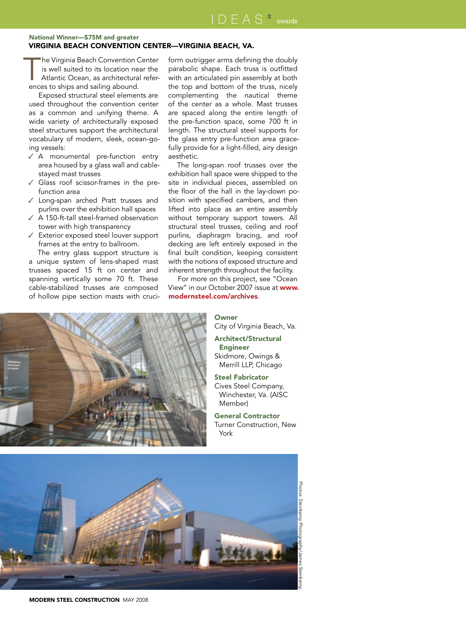## National Winner—\$75M and greater Virginia Beach Convention Center—Virginia Beach, VA.

The Virginia Beach Convention Center<br>
is well suited to its location near the<br>
Atlantic Ocean, as architectural refer-<br>
ences to ships and sailing abound is well suited to its location near the ences to ships and sailing abound.

Exposed structural steel elements are used throughout the convention center as a common and unifying theme. A wide variety of architecturally exposed steel structures support the architectural vocabulary of modern, sleek, ocean-going vessels:

- ✓ A monumental pre-function entry area housed by a glass wall and cablestayed mast trusses
- Glass roof scissor-frames in the prefunction area
- ✓ Long-span arched Pratt trusses and purlins over the exhibition hall spaces ✓ A 150-ft-tall steel-framed observation
- tower with high transparency
- ✓ Exterior exposed steel louver support frames at the entry to ballroom.

The entry glass support structure is a unique system of lens-shaped mast trusses spaced 15 ft on center and spanning vertically some 70 ft. These cable-stabilized trusses are composed of hollow pipe section masts with cruciform outrigger arms defining the doubly parabolic shape. Each truss is outfitted with an articulated pin assembly at both the top and bottom of the truss, nicely complementing the nautical theme of the center as a whole. Mast trusses are spaced along the entire length of the pre-function space, some 700 ft in length. The structural steel supports for the glass entry pre-function area gracefully provide for a light-filled, airy design aesthetic.

The long-span roof trusses over the exhibition hall space were shipped to the site in individual pieces, assembled on the floor of the hall in the lay-down position with specified cambers, and then lifted into place as an entire assembly without temporary support towers. All structural steel trusses, ceiling and roof purlins, diaphragm bracing, and roof decking are left entirely exposed in the final built condition, keeping consistent with the notions of exposed structure and inherent strength throughout the facility.

For more on this project, see "Ocean View" in our October 2007 issue at www. modernsteel.com/archives.



## **Owner**

City of Virginia Beach, Va.

- Architect/Structural Engineer Skidmore, Owings & Merrill LLP, Chicago
- Steel Fabricator Cives Steel Company, Winchester, Va. (AISC Member)

### General Contractor Turner Construction, New

York



Photos: Steinkamp Photography/James Steinkamp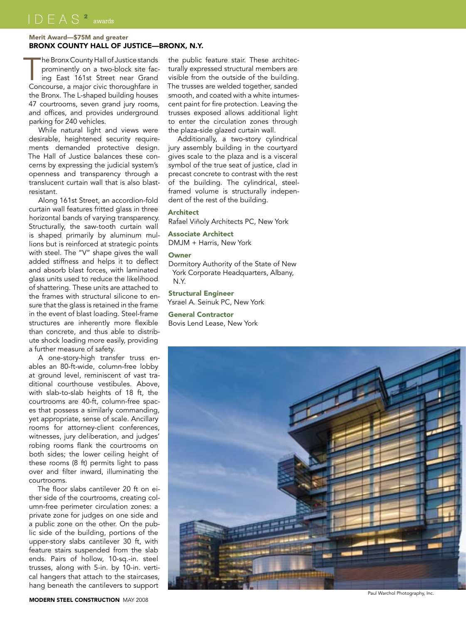## Merit Award—\$75M and greater Bronx County Hall of Justice—Bronx, N.Y.

The Bronx County Hall of Justice stands<br>
prominently on a two-block site fac-<br>
ing East 161st Street near Grand<br>
Concourse a major civic thoroughfare in prominently on a two-block site fac-Concourse, a major civic thoroughfare in the Bronx. The L-shaped building houses 47 courtrooms, seven grand jury rooms, and offices, and provides underground parking for 240 vehicles.

While natural light and views were desirable, heightened security requirements demanded protective design. The Hall of Justice balances these concerns by expressing the judicial system's openness and transparency through a translucent curtain wall that is also blastresistant.

Along 161st Street, an accordion-fold curtain wall features fritted glass in three horizontal bands of varying transparency. Structurally, the saw-tooth curtain wall is shaped primarily by aluminum mullions but is reinforced at strategic points with steel. The "V" shape gives the wall added stiffness and helps it to deflect and absorb blast forces, with laminated glass units used to reduce the likelihood of shattering. These units are attached to the frames with structural silicone to ensure that the glass is retained in the frame in the event of blast loading. Steel-frame structures are inherently more flexible than concrete, and thus able to distribute shock loading more easily, providing a further measure of safety.

A one-story-high transfer truss enables an 80-ft-wide, column-free lobby at ground level, reminiscent of vast traditional courthouse vestibules. Above, with slab-to-slab heights of 18 ft, the courtrooms are 40-ft, column-free spaces that possess a similarly commanding, yet appropriate, sense of scale. Ancillary rooms for attorney-client conferences, witnesses, jury deliberation, and judges' robing rooms flank the courtrooms on both sides; the lower ceiling height of these rooms (8 ft) permits light to pass over and filter inward, illuminating the courtrooms.

The floor slabs cantilever 20 ft on either side of the courtrooms, creating column-free perimeter circulation zones: a private zone for judges on one side and a public zone on the other. On the public side of the building, portions of the upper-story slabs cantilever 30 ft, with feature stairs suspended from the slab ends. Pairs of hollow, 10-sq.-in. steel trusses, along with 5-in. by 10-in. vertical hangers that attach to the staircases, hang beneath the cantilevers to support

the public feature stair. These architecturally expressed structural members are visible from the outside of the building. The trusses are welded together, sanded smooth, and coated with a white intumescent paint for fire protection. Leaving the trusses exposed allows additional light to enter the circulation zones through the plaza-side glazed curtain wall.

Additionally, a two-story cylindrical jury assembly building in the courtyard gives scale to the plaza and is a visceral symbol of the true seat of justice, clad in precast concrete to contrast with the rest of the building. The cylindrical, steelframed volume is structurally independent of the rest of the building.

## Architect

Rafael Viñoly Architects PC, New York

## Associate Architect

DMJM + Harris, New York

## **Owner**

Dormitory Authority of the State of New York Corporate Headquarters, Albany, N.Y.

## Structural Engineer

Ysrael A. Seinuk PC, New York

#### General Contractor

Bovis Lend Lease, New York



Paul Warchol Photography, Inc.